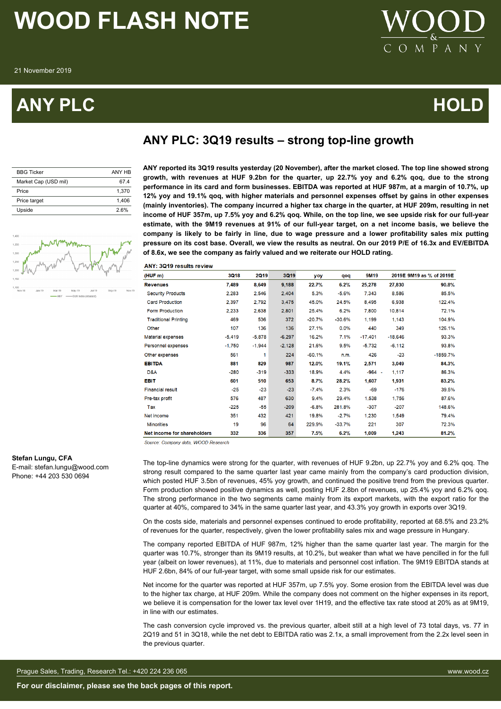## **ANY PLC HOLD**



### **ANY PLC: 3Q19 results – strong top-line growth**

| <b>BBG Ticker</b>    | ANY HB |
|----------------------|--------|
| Market Cap (USD mil) | 674    |
| Price                | 1.370  |
| Price target         | 1.406  |
| Upside               | 2.6%   |



**ANY reported its 3Q19 results yesterday (20 November), after the market closed. The top line showed strong growth, with revenues at HUF 9.2bn for the quarter, up 22.7% yoy and 6.2% qoq, due to the strong performance in its card and form businesses. EBITDA was reported at HUF 987m, at a margin of 10.7%, up 12% yoy and 19.1% qoq, with higher materials and personnel expenses offset by gains in other expenses (mainly inventories). The company incurred a higher tax charge in the quarter, at HUF 209m, resulting in net income of HUF 357m, up 7.5% yoy and 6.2% qoq. While, on the top line, we see upside risk for our full-year estimate, with the 9M19 revenues at 91% of our full-year target, on a net income basis, we believe the company is likely to be fairly in line, due to wage pressure and a lower profitability sales mix putting pressure on its cost base. Overall, we view the results as neutral. On our 2019 P/E of 16.3x and EV/EBITDA of 8.6x, we see the company as fairly valued and we reiterate our HOLD rating.**

ANY: 3019 results review

| (HUFm)                      | 3Q18     | <b>2Q19</b> | <b>3Q19</b> | yoy      | pop      | 9M19      |           | 2019E 9M19 as % of 2019E |
|-----------------------------|----------|-------------|-------------|----------|----------|-----------|-----------|--------------------------|
| <b>Revenues</b>             | 7,489    | 8,649       | 9,188       | 22.7%    | 6.2%     | 25,278    | 27,830    | 90.8%                    |
| <b>Security Products</b>    | 2,283    | 2,546       | 2,404       | 5.3%     | $-5.6%$  | 7,343     | 8,586     | 85.5%                    |
| <b>Card Production</b>      | 2,397    | 2,792       | 3,475       | 45.0%    | 24.5%    | 8.495     | 6,938     | 122.4%                   |
| <b>Form Production</b>      | 2.233    | 2.638       | 2,801       | 25.4%    | 6.2%     | 7.800     | 10,814    | 72.1%                    |
| <b>Traditional Printing</b> | 469      | 536         | 372         | $-20.7%$ | $-30.6%$ | 1,199     | 1,143     | 104.9%                   |
| Other                       | 107      | 136         | 136         | 27.1%    | 0.0%     | 440       | 349       | 126.1%                   |
| Material expenses           | $-5.419$ | $-5,878$    | $-6,297$    | 16.2%    | 7.1%     | $-17.401$ | $-18,646$ | 93.3%                    |
| Personnel expenses          | $-1,750$ | $-1,944$    | $-2,128$    | 21.6%    | 9.5%     | $-5,732$  | $-6,112$  | 93.8%                    |
| Other expenses              | 561      | 1           | 224         | $-60.1%$ | n.m.     | 426       | $-23$     | $-1859.7%$               |
| <b>EBITDA</b>               | 881      | 829         | 987         | 12.0%    | 19.1%    | 2,571     | 3,049     | 84.3%                    |
| D&A                         | $-280$   | $-319$      | $-333$      | 18.9%    | 4.4%     | $-964 -$  | 1,117     | 86.3%                    |
| <b>EBIT</b>                 | 601      | 510         | 653         | 8.7%     | 28.2%    | 1,607     | 1,931     | 83.2%                    |
| <b>Financial result</b>     | $-25$    | $-23$       | $-23$       | $-7.4%$  | 2.3%     | $-69$     | $-176$    | 39.5%                    |
| Pre-tax profit              | 576      | 487         | 630         | 9.4%     | 29.4%    | 1,538     | 1,756     | 87.6%                    |
| Tax                         | $-225$   | -55         | $-209$      | $-6.8%$  | 281.8%   | $-307$    | $-207$    | 148.6%                   |
| Net income                  | 351      | 432         | 421         | 19.8%    | $-2.7%$  | 1,230     | 1,549     | 79.4%                    |
| <b>Minorities</b>           | 19       | 96          | 64          | 229.9%   | $-33.7%$ | 221       | 307       | 72.3%                    |
| Net income for shareholders | 332      | 336         | 357         | 7.5%     | 6.2%     | 1,009     | 1,243     | 81.2%                    |

Source: Company data. WOOD Research

### **Stefan Lungu, CFA**

E-mail: stefan.lungu@wood.com Phone: +44 203 530 0694

The top-line dynamics were strong for the quarter, with revenues of HUF 9.2bn, up 22.7% yoy and 6.2% qoq. The strong result compared to the same quarter last year came mainly from the company's card production division, which posted HUF 3.5bn of revenues, 45% yoy growth, and continued the positive trend from the previous quarter. Form production showed positive dynamics as well, posting HUF 2.8bn of revenues, up 25.4% yoy and 6.2% qoq. The strong performance in the two segments came mainly from its export markets, with the export ratio for the quarter at 40%, compared to 34% in the same quarter last year, and 43.3% yoy growth in exports over 3Q19.

On the costs side, materials and personnel expenses continued to erode profitability, reported at 68.5% and 23.2% of revenues for the quarter, respectively, given the lower profitability sales mix and wage pressure in Hungary.

The company reported EBITDA of HUF 987m, 12% higher than the same quarter last year. The margin for the quarter was 10.7%, stronger than its 9M19 results, at 10.2%, but weaker than what we have pencilled in for the full year (albeit on lower revenues), at 11%, due to materials and personnel cost inflation. The 9M19 EBITDA stands at HUF 2.6bn, 84% of our full-year target, with some small upside risk for our estimates.

Net income for the quarter was reported at HUF 357m, up 7.5% yoy. Some erosion from the EBITDA level was due to the higher tax charge, at HUF 209m. While the company does not comment on the higher expenses in its report, we believe it is compensation for the lower tax level over 1H19, and the effective tax rate stood at 20% as at 9M19, in line with our estimates.

The cash conversion cycle improved vs. the previous quarter, albeit still at a high level of 73 total days, vs. 77 in 2Q19 and 51 in 3Q18, while the net debt to EBITDA ratio was 2.1x, a small improvement from the 2.2x level seen in the previous quarter.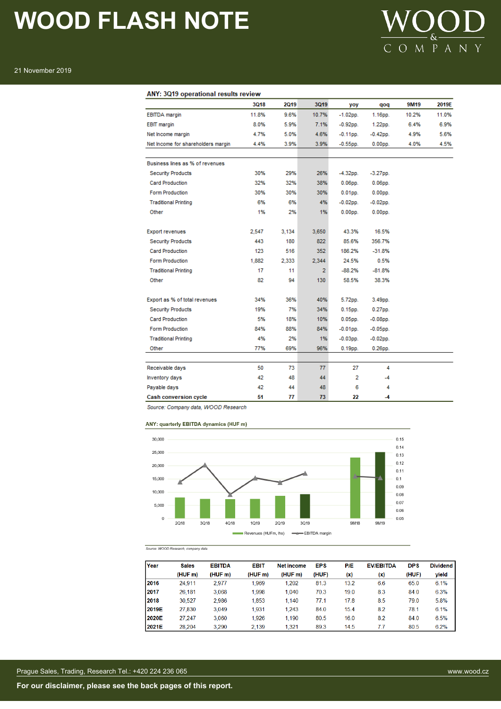

### ANY: 3Q19 operational results review

|                                    | 3Q18  | 2019  | 3Q19           | yoy         | qoq            | 9M19  | 2019E |
|------------------------------------|-------|-------|----------------|-------------|----------------|-------|-------|
| <b>EBITDA</b> margin               | 11.8% | 9.6%  | 10.7%          | $-1.02$ pp. | $1.16pp$ .     | 10.2% | 11.0% |
| <b>EBIT</b> margin                 | 8.0%  | 5.9%  | 7.1%           | $-0.92$ pp. | 1.22pp.        | 6.4%  | 6.9%  |
| Net Income margin                  | 4.7%  | 5.0%  | 4.6%           | $-0.11$ pp. | $-0.42$ pp.    | 4.9%  | 5.6%  |
| Net Income for shareholders margin | 4.4%  | 3.9%  | 3.9%           | $-0.55$ pp. | $0.00pp$ .     | 4.0%  | 4.5%  |
|                                    |       |       |                |             |                |       |       |
| Business lines as % of revenues    |       |       |                |             |                |       |       |
| <b>Security Products</b>           | 30%   | 29%   | 26%            | $-4.32$ pp. | $-3.27$ pp.    |       |       |
| <b>Card Production</b>             | 32%   | 32%   | 38%            | $0.06pp$ .  | $0.06$ pp.     |       |       |
| Form Production                    | 30%   | 30%   | 30%            | $0.01$ pp.  | $0.00pp$ .     |       |       |
| <b>Traditional Printing</b>        | 6%    | 6%    | 4%             | $-0.02$ pp. | $-0.02$ pp.    |       |       |
| Other                              | 1%    | 2%    | 1%             | $0.00DD$ .  | $0.00DD$ .     |       |       |
|                                    |       |       |                |             |                |       |       |
| <b>Export revenues</b>             | 2.547 | 3.134 | 3,650          | 43.3%       | 16.5%          |       |       |
| <b>Security Products</b>           | 443   | 180   | 822            | 85.6%       | 356.7%         |       |       |
| <b>Card Production</b>             | 123   | 516   | 352            | 186.2%      | $-31.8%$       |       |       |
| <b>Form Production</b>             | 1,882 | 2,333 | 2,344          | 24.5%       | 0.5%           |       |       |
| <b>Traditional Printing</b>        | 17    | 11    | $\overline{2}$ | $-88.2%$    | $-81.8%$       |       |       |
| Other                              | 82    | 94    | 130            | 58.5%       | 38.3%          |       |       |
| Export as % of total revenues      | 34%   | 36%   | 40%            | 5.72pp.     | 3.49pp.        |       |       |
| <b>Security Products</b>           | 19%   | 7%    | 34%            | $0.15$ pp.  | $0.27$ pp.     |       |       |
| <b>Card Production</b>             | 5%    | 18%   | 10%            | $0.05$ pp.  | $-0.08$ pp.    |       |       |
| <b>Form Production</b>             | 84%   | 88%   | 84%            | $-0.01$ pp. | $-0.05$ pp.    |       |       |
| <b>Traditional Printing</b>        | 4%    | 2%    | 1%             | $-0.03$ pp. | $-0.02$ pp.    |       |       |
| Other                              | 77%   | 69%   | 96%            | $0.19pp$ .  | $0.26$ pp.     |       |       |
|                                    |       |       |                |             |                |       |       |
| Receivable days                    | 50    | 73    | 77             | 27          | 4              |       |       |
| Inventory days                     | 42    | 48    | 44             | 2           | $-4$           |       |       |
| Payable days                       | 42    | 44    | 48             | 6           | 4              |       |       |
| <b>Cash conversion cycle</b>       | 51    | 77    | 73             | 22          | $\overline{A}$ |       |       |

Source: Company data, WOOD Research

### ANY: quarterly EBITDA dynamics (HUF m)



Source: WOOD Research, company data

| Year  | <b>Sales</b> | <b>EBITDA</b> | <b>EBIT</b> | <b>Net income</b> | <b>EPS</b> | P/E  | <b>EV/EBITDA</b> | <b>DPS</b> | <b>Dividend</b> |
|-------|--------------|---------------|-------------|-------------------|------------|------|------------------|------------|-----------------|
|       | (HUF m)      | (HUFm)        | (HUFm)      | (HUF m)           | (HUF)      | (x)  | (x)              | (HUF)      | yield           |
| 2016  | 24.911       | 2.977         | 1.969       | 1.202             | 81.3       | 13.2 | 6.6              | 65.0       | 6.1%            |
| 2017  | 26,181       | 3,068         | 1,998       | 1.040             | 70.3       | 19.0 | 8.3              | 84.0       | 6.3%            |
| 2018  | 30,527       | 2,986         | 1,853       | 1.140             | 77.1       | 17.8 | 8.5              | 79.0       | 5.8%            |
| 2019E | 27,830       | 3.049         | 1.931       | 1,243             | 84.0       | 15.4 | 8.2              | 78.1       | 6.1%            |
| 2020E | 27.247       | 3.060         | 1.926       | 1.190             | 80.5       | 16.0 | 8.2              | 84.0       | 6.5%            |
| 2021E | 28.204       | 3.290         | 2.139       | 1.321             | 89.3       | 14.5 | 77               | 80.5       | 6.2%            |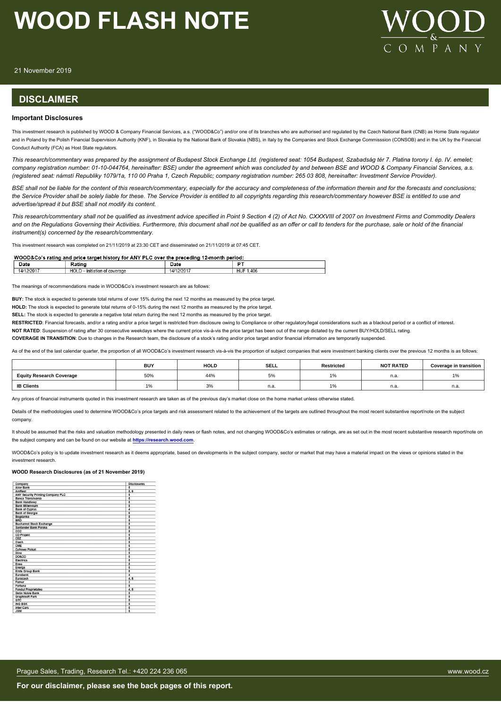

21 November 2019

### **DISCLAIMER**

### **Important Disclosures**

This investment research is published by WOOD & Company Financial Services, a.s. ("WOOD&Co") and/or one of its branches who are authorised and regulated by the Czech National Bank (CNB) as Home State regulator and in Poland by the Polish Financial Supervision Authority (KNF), in Slovakia by the National Bank of Slovakia (NBS), in Italy by the Companies and Stock Exchange Commisssion (CONSOB) and in the UK by the Financial Conduct Authority (FCA) as Host State regulators.

*This research/commentary was prepared by the assignment of Budapest Stock Exchange Ltd. (registered seat: 1054 Budapest, Szabadság tér 7. Platina torony I. ép. IV. emelet; company registration number: 01-10-044764, hereinafter: BSE) under the agreement which was concluded by and between BSE and WOOD & Company Financial Services, a.s. (registered seat: námstí Republiky 1079/1a, 110 00 Praha 1, Czech Republic; company registration number: 265 03 808, hereinafter: Investment Service Provider).*

*BSE shall not be liable for the content of this research/commentary, especially for the accuracy and completeness of the information therein and for the forecasts and conclusions; the Service Provider shall be solely liable for these. The Service Provider is entitled to all copyrights regarding this research/commentary however BSE is entitled to use and advertise/spread it but BSE shall not modify its content.*

*This research/commentary shall not be qualified as investment advice specified in Point 9 Section 4 (2) of Act No. CXXXVIII of 2007 on Investment Firms and Commodity Dealers and on the Regulations Governing their Activities. Furthermore, this document shall not be qualified as an offer or call to tenders for the purchase, sale or hold of the financial instrument(s) concerned by the research/commentary.*

This investment research was completed on 21/11/2019 at 23:30 CET and disseminated on 21/11/2019 at 07:45 CET.

### WOOD&Co's rating and price target history for ANY PLC over the preceding 12-month period:

| vate                   |                                                                 | vau                     | $ -$        |
|------------------------|-----------------------------------------------------------------|-------------------------|-------------|
| /2017<br>$1\Delta l^2$ | 11 <sup>o</sup><br>1.1<br>· Initiation<br><i>חמור</i><br>rerage | 12017<br>$\overline{A}$ | .406<br>HUF |

The meanings of recommendations made in WOOD&Co's investment research are as follows:

**BUY:** The stock is expected to generate total returns of over 15% during the next 12 months as measured by the price target.

**HOLD:** The stock is expected to generate total returns of 0-15% during the next 12 months as measured by the price target.

**SELL:** The stock is expected to generate a negative total return during the next 12 months as measured by the price target.

RESTRICTED: Financial forecasts, and/or a rating and/or a price target is restricted from disclosure owing to Compliance or other regulatory/legal considerations such as a blackout period or a conflict of interest.

**NOT RATED**: Suspension of rating after 30 consecutive weekdays where the current price vis-à-vis the price target has been out of the range dictated by the current BUY/HOLD/SELL rating.

**COVERAGE IN TRANSITION**: Due to changes in the Research team, the disclosure of a stock's rating and/or price target and/or financial information are temporarily suspended.

As of the end of the last calendar quarter, the proportion of all WOOD&Co's investment research vis-à-vis the proportion of subject companies that were investment banking clients over the previous 12 months is as follows:

|                                 | <b>BUY</b> | <b>HOLD</b> | <b>SELL</b>    | Restricted | <b>NOT RATED</b> | <b>Coverage in transition</b> |
|---------------------------------|------------|-------------|----------------|------------|------------------|-------------------------------|
| <b>Equity Research Coverage</b> | 50%        | 44%         | 5%             |            | n.a.             | AD<br>l %                     |
| <b>IB Clients</b>               | <b>170</b> | 3%          | $\sim$<br>n.a. |            | - -<br>n.a.      | n.a.                          |

Any prices of financial instruments quoted in this investment research are taken as of the previous day's market close on the home market unless otherwise stated.

Details of the methodologies used to determine WOOD&Co's price targets and risk assessment related to the achievement of the targets are outlined throughout the most recent substantive report/note on the subject company.

It should be assumed that the risks and valuation methodology presented in daily news or flash notes, and not changing WOOD&Co's estimates or ratings, are as set out in the most recent substantive research report/note on the subject company and can be found on our website at **[https://research.wood.com](https://research.wood.com/)**.

WOOD&Co's policy is to update investment research as it deems appropriate, based on developments in the subject company, sector or market that may have a material impact on the views or opinions stated in the investment research.

### **WOOD Research Disclosures (as of 21 November 2019)**

| Company                                  | <b>Disclosures</b>      |
|------------------------------------------|-------------------------|
| <b>Alior Bank</b>                        | 5                       |
| <b>AmRest</b>                            | 5, 6                    |
| <b>ANY Security Printing Company PLC</b> | 5                       |
| Banca Transilvania                       | $\overline{5}$          |
| <b>Bank Handlowy</b>                     | $\overline{\mathbf{s}}$ |
| <b>Bank Millennium</b>                   | 5                       |
| <b>Bank of Cyprus</b>                    | 4                       |
| <b>Bank of Georgia</b>                   | $\overline{\mathbf{6}}$ |
| Bogdanka                                 | 5                       |
| <b>BRD</b>                               | 5                       |
| <b>Bucharest Stock Exchange</b>          | 5                       |
| Santander Bank Polska                    | 5                       |
| ccc                                      | $\overline{\mathbf{5}}$ |
| <b>CD Projekt</b>                        | 5                       |
| CEZ                                      | 5                       |
| Ciech                                    | 5                       |
| CME                                      | 5                       |
| <b>Cyfrowy Polsat</b>                    | $\overline{5}$          |
| Dino                                     | $\overline{\mathbf{5}}$ |
| DO&CO                                    | 5                       |
| Electrica                                | 5                       |
| Enea                                     | 5                       |
| Energa                                   | 5                       |
| <b>Erste Group Bank</b>                  | $\overline{5}$          |
| <b>Furobank</b>                          | 4                       |
| Eurocash                                 | 4.5                     |
| Famur                                    | $\overline{\mathbf{3}}$ |
| Fortuna                                  | 5                       |
| <b>Fondul Proprietatea</b>               | 4, 5                    |
| <b>Getin Noble Bank</b>                  | 5                       |
| <b>Graphisoft Park</b>                   | 5                       |
| GTC                                      | 5                       |
| <b>ING BSK</b>                           | 5                       |
| <b>Inter Cars</b>                        | $\overline{5}$          |
| <b>USW</b>                               | $\overline{5}$          |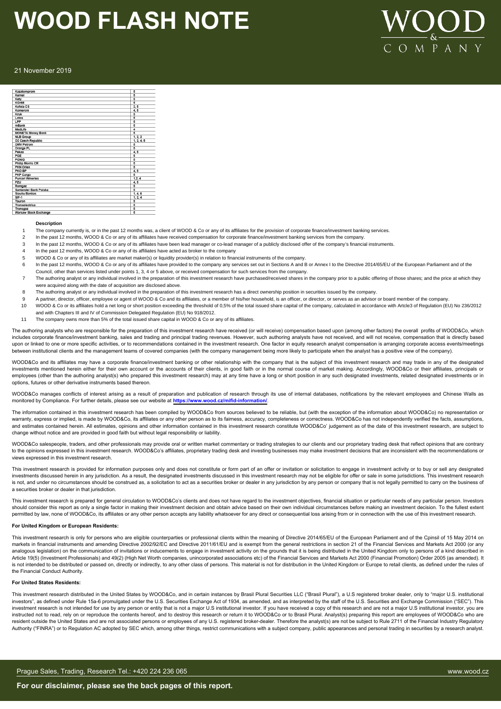# $OMPA N$

### 21 November 2019

| Kazatomprom                  | 5              |
|------------------------------|----------------|
| Kernel                       | 5              |
| Kety                         | $\overline{6}$ |
| KGHM                         | 5              |
| Kofola CS                    | 3.5            |
| Komercni                     | 4.5            |
| Kruk                         | 5              |
| Lotos                        | 5              |
| LPP                          | 5              |
| mBank                        | 5              |
| Medl.ife                     | 4              |
| <b>MONETA Money Bank</b>     | $\overline{5}$ |
| <b>NLB Group</b>             | 1, 2, 3        |
| O2 Czech Republic            | 1, 2, 4, 5     |
| <b>OMV Petrom</b>            | 5              |
| Orange PL                    | $\overline{6}$ |
| Pekao                        | 4, 5           |
| PGE                          | 5              |
| PGNIG                        | 5              |
| <b>Philip Morris CR</b>      | 5              |
| <b>PKN Orlen</b>             | $\overline{5}$ |
| PKO BP                       | 4, 5           |
| <b>PKP Cargo</b>             | 5              |
| <b>Purcari Wineries</b>      | 1, 2, 4        |
| PZU                          | 4, 5           |
| Romgaz                       | 5              |
| Santander Bank Polska        | $\overline{5}$ |
| <b>Siauliu Bankas</b>        | 1.4.6          |
| $SIF-1$                      | 1, 2, 4        |
| Tauron                       | 5              |
| Transelectrica               | 5              |
| Transgaz                     | 5              |
| <b>Warsaw Stock Exchange</b> | 5              |

### **Description**

- The company currently is, or in the past 12 months was, a client of WOOD & Co or any of its affiliates for the provision of corporate finance/investment banking services.
- 2 In the past 12 months, WOOD & Co or any of its affiliates have received compensation for corporate finance/investment banking services from the company
- 3 In the past 12 months, WOOD & Co or any of its affiliates have been lead manager or co-lead manager of a publicly disclosed offer of the company's financial instruments.
- In the past 12 months, WOOD & Co or any of its affiliates have acted as broker to the company
- 5 WOOD & Co or any of its affiliates are market maker(s) or liquidity provider(s) in relation to financial instruments of the company.
- In the past 12 months, WOOD & Co or any of its affiliates have provided to the company any services set out in Sections A and B or Annex I to the Directive 2014/65/EU of the European Parliament and of the Council, other than services listed under points 1, 3, 4 or 5 above, or received compensation for such services from the company.
- 7 The authoring analyst or any individual involved in the preparation of this investment research have purchased/received shares in the company prior to a public offering of those shares; and the price at which they were acquired along with the date of acquisition are disclosed above.
- 8 The authoring analyst or any individual involved in the preparation of this investment research has a direct ownership position in securities issued by the company.
- 9 A partner, director, officer, employee or agent of WOOD & Co and its affiliates, or a member of his/her household, is an officer, or director, or serves as an advisor or board member of the company.
- 10 WOOD & Co or its affiliates hold a net long or short position exceeding the threshold of 0,5% of the total issued share capital of the company, calculated in accordance with Artcle3 of Regulation (EU) No 236/2012 and with Chapters III and IV of Commission Delegated Regulation (EU) No 918/2012.
- 11 The company owns more than 5% of the total issued share capital in WOOD & Co or any of its affiliates.

The authoring analysts who are responsible for the preparation of this investment research have received (or will receive) compensation based upon (among other factors) the overall profits of WOOD&Co, which includes corporate finance/investment banking, sales and trading and principal trading revenues. However, such authoring analysts have not received, and will not receive, compensation that is directly based upon or linked to one or more specific activities, or to recommendations contained in the investment research. One factor in equity research analyst compensation is arranging corporate access events/meetings between institutional clients and the management teams of covered companies (with the company management being more likely to participate when the analyst has a positive view of the company)

WOOD&Co and its affiliates may have a corporate finance/investment banking or other relationship with the company that is the subject of this investment research and may trade in any of the designated investments mentioned herein either for their own account or the accounts of their clients, in good faith or in the normal course of market making. Accordingly, WOOD&Co or their affiliates, principals or employees (other than the authoring analyst(s) who prepared this investment research) may at any time have a long or short position in any such designated investments, related designated investments or in options, futures or other derivative instruments based thereon.

WOOD&Co manages conflicts of interest arising as a result of preparation and publication of research through its use of internal databases, notifications by the relevant employees and Chinese Walls as monitored by Compliance. For further details, please see our website at **https://www.wood.cz/mifid-information/**.

The information contained in this investment research has been compiled by WOOD&Co from sources believed to be reliable, but (with the exception of the information about WOOD&Co) no representation or warranty, express or implied, is made by WOOD&Co, its affiliates or any other person as to its fairness, accuracy, completeness or correctness. WOOD&Co has not independently verified the facts, assumptions, and estimates contained herein. All estimates, opinions and other information contained in this investment research constitute WOOD&Co' judgement as of the date of this investment research, are subject to change without notice and are provided in good faith but without legal responsibility or liability.

WOOD&Co salespeople, traders, and other professionals may provide oral or written market commentary or trading strategies to our clients and our proprietary trading desk that reflect opinions that are contrary to the opinions expressed in this investment research. WOOD&Co's affiliates, proprietary trading desk and investing businesses may make investment decisions that are inconsistent with the recommendations or views expressed in this investment research.

This investment research is provided for information purposes only and does not constitute or form part of an offer or invitation or solicitation to engage in investment activity or to buy or sell any designated investments discussed herein in any jurisdiction. As a result, the designated investments discussed in this investment research may not be eligible for offer or sale in some jurisdictions. This investment research is not, and under no circumstances should be construed as, a solicitation to act as a securities broker or dealer in any jurisdiction by any person or company that is not legally permitted to carry on the business of a securities broker or dealer in that jurisdiction.

This investment research is prepared for general circulation to WOOD&Co's clients and does not have regard to the investment objectives, financial situation or particular needs of any particular person. Investors should consider this report as only a single factor in making their investment decision and obtain advice based on their own individual circumstances before making an investment decision. To the fullest extent permitted by law, none of WOOD&Co, its affiliates or any other person accepts any liability whatsoever for any direct or consequential loss arising from or in connection with the use of this investment research.

#### **For United Kingdom or European Residents:**

This investment research is only for persons who are eligible counterparties or professional clients within the meaning of Directive 2014/65/EU of the European Parliament and of the Cpinsil of 15 May 2014 on markets in financial instruments and amending Directive 2002/92/EC and Directive 2011/61/EU and is exempt from the general restrictions in section 21 of the Financial Services and Markets Act 2000 (or any analogous legislation) on the communication of invitations or inducements to engage in investment activity on the grounds that it is being distributed in the United Kingdom only to persons of a kind described in Article 19(5) (Investment Professionals) and 49(2) (High Net Worth companies, unincorporated associations etc) of the Financial Services and Markets Act 2000 (Financial Promotion) Order 2005 (as amended). It is not intended to be distributed or passed on, directly or indirectly, to any other class of persons. This material is not for distribution in the United Kingdom or Europe to retail clients, as defined under the rules of the Financial Conduct Authority.

### **For United States Residents:**

This investment research distributed in the United States by WOOD&Co, and in certain instances by Brasil Plural Securities LLC ("Brasil Plural"), a U.S registered broker dealer, only to "major U.S. institutional investors", as defined under Rule 15a-6 promulgated under the U.S. Securities Exchange Act of 1934, as amended, and as interpreted by the staff of the U.S. Securities and Exchange Commission ("SEC"). This investment research is not intended for use by any person or entity that is not a major U.S institutional investor. If you have received a copy of this research and are not a major U.S institutional investor, you are instructed not to read, rely on or reproduce the contents hereof, and to destroy this research or return it to WOOD&Co or to Brasil Plural. Analyst(s) preparing this report are employees of WOOD&Co who are resident outside the United States and are not associated persons or employees of any U.S. registered broker-dealer. Therefore the analyst(s) are not be subject to Rule 2711 of the Financial Industry Regulatory Authority ("FINRA") or to Regulation AC adopted by SEC which, among other things, restrict communications with a subject company, public appearances and personal trading in securities by a research analyst.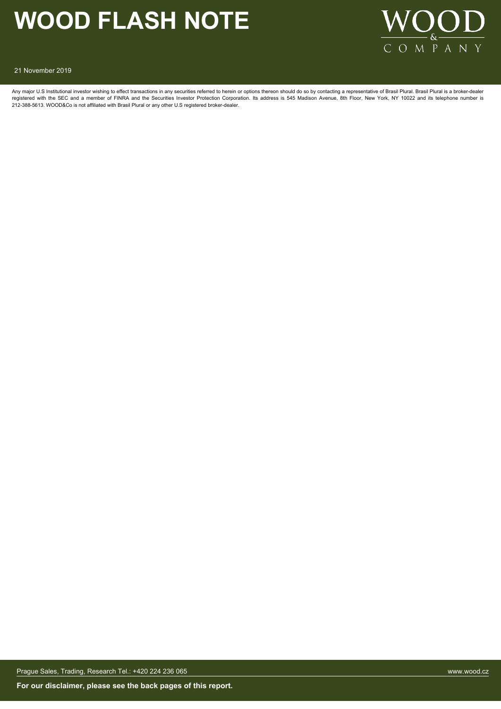

21 November 2019

Any major U.S Institutional investor wishing to effect transactions in any securities referred to herein or options thereon should do so by contacting a representative of Brasil Plural. Brasil Plural is a broker-dealer registered with the SEC and a member of FINRA and the Securities Investor Protection Corporation. Its address is 545 Madison Avenue, 8th Floor, New York, NY 10022 and its telephone number is<br>212-388-5613. WOOD&Co is not af